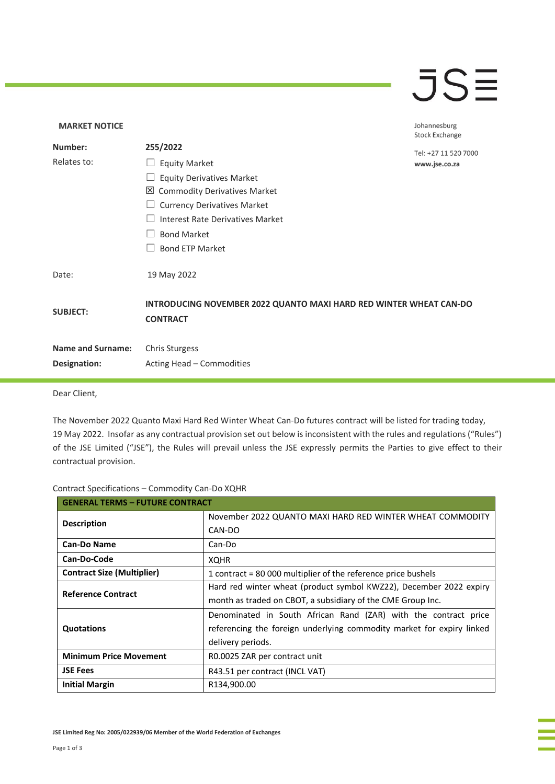### $\overline{\mathsf{J}}\mathsf{S}$

### **MARKET NOTICE** Johannesburg **Stock Exchange Number: 255/2022** Tel: +27 11 520 7000 Relates to: □ Equity Market www.jse.co.za □ Equity Derivatives Market Commodity Derivatives Market □ Currency Derivatives Market ☐ Interest Rate Derivatives Market ☐ Bond Market □ Bond ETP Market Date: 19 May 2022 **INTRODUCING NOVEMBER 2022 QUANTO MAXI HARD RED WINTER WHEAT CAN-DO SUBJECT: CONTRACT Name and Surname:** Chris Sturgess **Designation:** Acting Head – Commodities

Dear Client,

The November 2022 Quanto Maxi Hard Red Winter Wheat Can-Do futures contract will be listed for trading today, 19 May 2022. Insofar as any contractual provision set out below is inconsistent with the rules and regulations ("Rules") of the JSE Limited ("JSE"), the Rules will prevail unless the JSE expressly permits the Parties to give effect to their contractual provision.

#### Contract Specifications – Commodity Can-Do XQHR

| <b>GENERAL TERMS - FUTURE CONTRACT</b> |                                                                       |
|----------------------------------------|-----------------------------------------------------------------------|
| <b>Description</b>                     | November 2022 QUANTO MAXI HARD RED WINTER WHEAT COMMODITY             |
|                                        | CAN-DO                                                                |
| <b>Can-Do Name</b>                     | Can-Do                                                                |
| Can-Do-Code                            | <b>XQHR</b>                                                           |
| <b>Contract Size (Multiplier)</b>      | 1 contract = 80 000 multiplier of the reference price bushels         |
| <b>Reference Contract</b>              | Hard red winter wheat (product symbol KWZ22), December 2022 expiry    |
|                                        | month as traded on CBOT, a subsidiary of the CME Group Inc.           |
| <b>Quotations</b>                      | Denominated in South African Rand (ZAR) with the contract price       |
|                                        | referencing the foreign underlying commodity market for expiry linked |
|                                        | delivery periods.                                                     |
| <b>Minimum Price Movement</b>          | R0.0025 ZAR per contract unit                                         |
| <b>JSE Fees</b>                        | R43.51 per contract (INCL VAT)                                        |
| <b>Initial Margin</b>                  | R134,900.00                                                           |

**JSE Limited Reg No: 2005/022939/06 Member of the World Federation of Exchanges**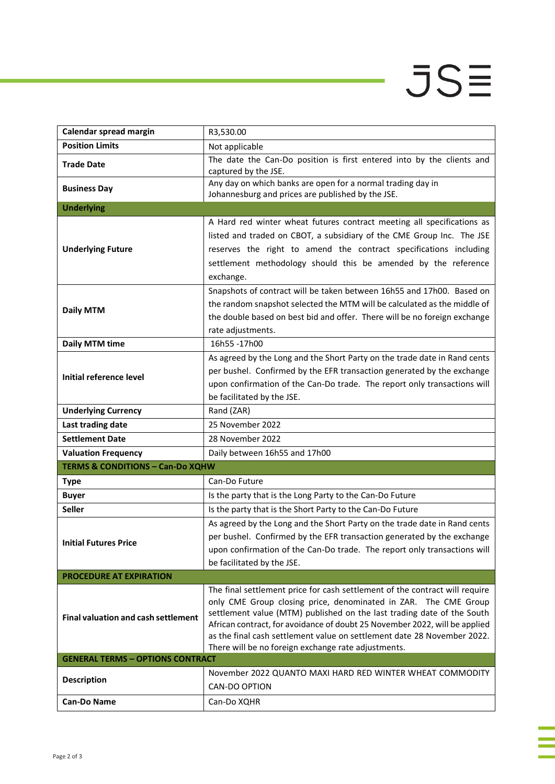# $JS\equiv$

i<br>I

j.

| Calendar spread margin                      | R3,530.00                                                                                                                                                                                                                                                                                                                                                                         |  |
|---------------------------------------------|-----------------------------------------------------------------------------------------------------------------------------------------------------------------------------------------------------------------------------------------------------------------------------------------------------------------------------------------------------------------------------------|--|
| <b>Position Limits</b>                      | Not applicable                                                                                                                                                                                                                                                                                                                                                                    |  |
| <b>Trade Date</b>                           | The date the Can-Do position is first entered into by the clients and<br>captured by the JSE.                                                                                                                                                                                                                                                                                     |  |
| <b>Business Day</b>                         | Any day on which banks are open for a normal trading day in<br>Johannesburg and prices are published by the JSE.                                                                                                                                                                                                                                                                  |  |
| <b>Underlying</b>                           |                                                                                                                                                                                                                                                                                                                                                                                   |  |
|                                             | A Hard red winter wheat futures contract meeting all specifications as                                                                                                                                                                                                                                                                                                            |  |
| <b>Underlying Future</b>                    | listed and traded on CBOT, a subsidiary of the CME Group Inc. The JSE<br>reserves the right to amend the contract specifications including<br>settlement methodology should this be amended by the reference<br>exchange.                                                                                                                                                         |  |
| <b>Daily MTM</b>                            | Snapshots of contract will be taken between 16h55 and 17h00. Based on                                                                                                                                                                                                                                                                                                             |  |
|                                             | the random snapshot selected the MTM will be calculated as the middle of<br>the double based on best bid and offer. There will be no foreign exchange<br>rate adjustments.                                                                                                                                                                                                        |  |
| Daily MTM time                              | 16h55-17h00                                                                                                                                                                                                                                                                                                                                                                       |  |
| Initial reference level                     | As agreed by the Long and the Short Party on the trade date in Rand cents<br>per bushel. Confirmed by the EFR transaction generated by the exchange<br>upon confirmation of the Can-Do trade. The report only transactions will<br>be facilitated by the JSE.                                                                                                                     |  |
| <b>Underlying Currency</b>                  | Rand (ZAR)                                                                                                                                                                                                                                                                                                                                                                        |  |
| Last trading date                           | 25 November 2022                                                                                                                                                                                                                                                                                                                                                                  |  |
| <b>Settlement Date</b>                      | 28 November 2022                                                                                                                                                                                                                                                                                                                                                                  |  |
| <b>Valuation Frequency</b>                  | Daily between 16h55 and 17h00                                                                                                                                                                                                                                                                                                                                                     |  |
| <b>TERMS &amp; CONDITIONS - Can-Do XQHW</b> |                                                                                                                                                                                                                                                                                                                                                                                   |  |
| <b>Type</b>                                 | Can-Do Future                                                                                                                                                                                                                                                                                                                                                                     |  |
| <b>Buyer</b>                                | Is the party that is the Long Party to the Can-Do Future                                                                                                                                                                                                                                                                                                                          |  |
| <b>Seller</b>                               | Is the party that is the Short Party to the Can-Do Future                                                                                                                                                                                                                                                                                                                         |  |
| <b>Initial Futures Price</b>                | As agreed by the Long and the Short Party on the trade date in Rand cents<br>per bushel. Confirmed by the EFR transaction generated by the exchange<br>upon confirmation of the Can-Do trade. The report only transactions will<br>be facilitated by the JSE.                                                                                                                     |  |
| <b>PROCEDURE AT EXPIRATION</b>              |                                                                                                                                                                                                                                                                                                                                                                                   |  |
| <b>Final valuation and cash settlement</b>  | The final settlement price for cash settlement of the contract will require<br>only CME Group closing price, denominated in ZAR. The CME Group<br>settlement value (MTM) published on the last trading date of the South<br>African contract, for avoidance of doubt 25 November 2022, will be applied<br>as the final cash settlement value on settlement date 28 November 2022. |  |
|                                             | There will be no foreign exchange rate adjustments.                                                                                                                                                                                                                                                                                                                               |  |
| <b>GENERAL TERMS - OPTIONS CONTRACT</b>     |                                                                                                                                                                                                                                                                                                                                                                                   |  |
| <b>Description</b>                          | November 2022 QUANTO MAXI HARD RED WINTER WHEAT COMMODITY<br>CAN-DO OPTION                                                                                                                                                                                                                                                                                                        |  |